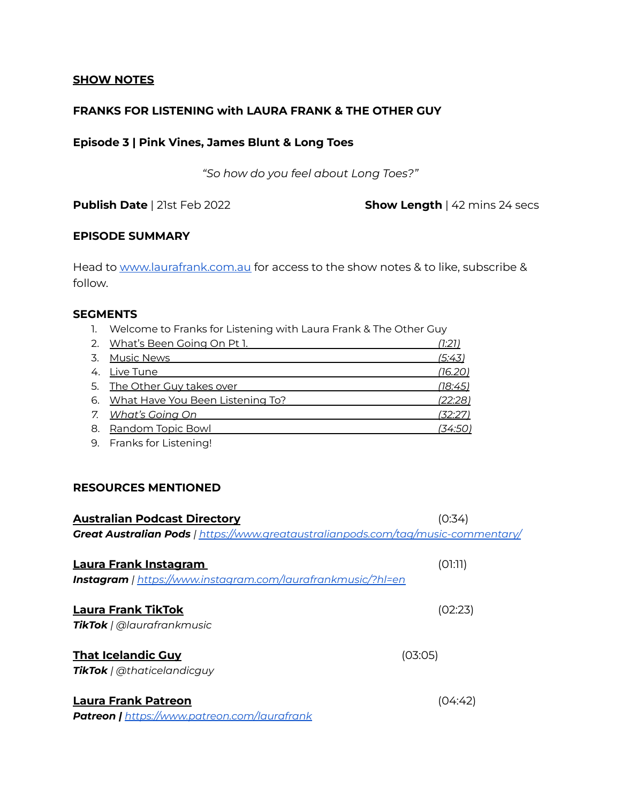### **SHOW NOTES**

# **FRANKS FOR LISTENING with LAURA FRANK & THE OTHER GUY**

# **Episode 3 | Pink Vines, James Blunt & Long Toes**

*"So how do you feel about Long Toes?"*

**Publish Date** | 21st Feb 2022 **Show Length** | 42 mins 24 secs

# **EPISODE SUMMARY**

Head to [www.laurafrank.com.au](http://www.laurafrank.com.au) for access to the show notes & to like, subscribe & follow.

### **SEGMENTS**

1. Welcome to Franks for Listening with Laura Frank & The Other Guy

| 2. What's Been Going On Pt 1.       | <u>(1:21)</u>  |
|-------------------------------------|----------------|
| <u>Music News</u>                   | (5:43)         |
| 4. Live Tune                        | (16.20)        |
| 5. The Other Guy takes over         | <u>(18:45)</u> |
| 6. What Have You Been Listening To? | (22:28)        |
| 7. What's Going On                  | (32:27)        |
| 8. Random Topic Bowl                | (34:50)        |
|                                     |                |

9. Franks for Listening!

# **RESOURCES MENTIONED**

| <b>Australian Podcast Directory</b>                                                             | (0:34)  |
|-------------------------------------------------------------------------------------------------|---------|
| <b>Great Australian Pods</b>   <u>https://www.greataustralianpods.com/tag/music-commentary/</u> |         |
| Laura Frank Instagram                                                                           | (01:11) |
| <b>Instagram</b>   https://www.instagram.com/laurafrankmusic/?hl=en                             |         |
| <b>Laura Frank TikTok</b><br><b>TikTok</b>   @laurafrankmusic                                   | (02:23) |
| <b>That Icelandic Guy</b><br><b>TikTok</b>   @thaticelandicguy                                  | (03:05) |
| Laura Frank Patreon                                                                             |         |

*Patreon | https:/ [www.patreon.com/laurafrank](https://www.patreon.com/laurafrank)*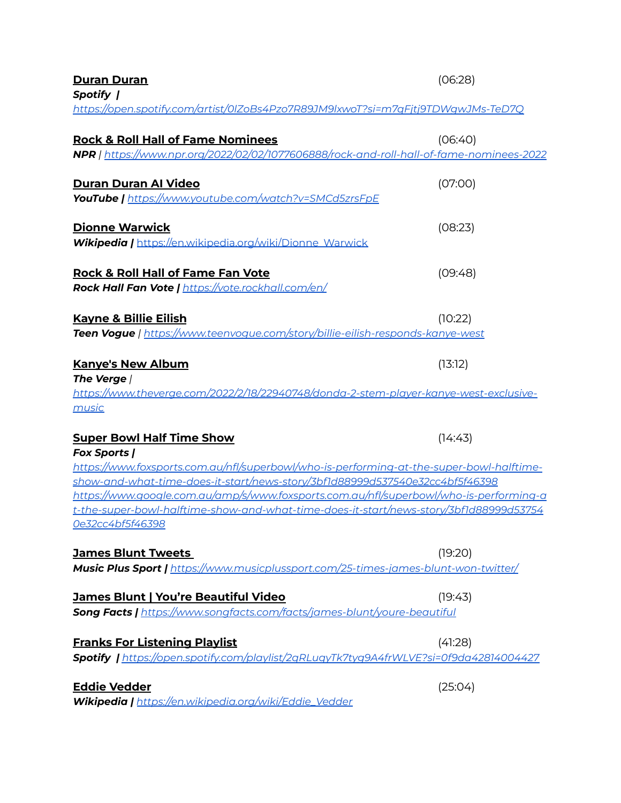| <b>Duran Duran</b><br>Spotify                                                                                                                                                                                                                                                                                                                                                                                                                             | (06:28) |
|-----------------------------------------------------------------------------------------------------------------------------------------------------------------------------------------------------------------------------------------------------------------------------------------------------------------------------------------------------------------------------------------------------------------------------------------------------------|---------|
| https://open.spotify.com/artist/0IZoBs4Pzo7R89JM9lxwoT?si=m7qFjtj9TDWgwJMs-TeD7Q                                                                                                                                                                                                                                                                                                                                                                          |         |
| <b>Rock &amp; Roll Hall of Fame Nominees</b><br>NPR   https://www.npr.org/2022/02/02/1077606888/rock-and-roll-hall-of-fame-nominees-2022                                                                                                                                                                                                                                                                                                                  | (06:40) |
| Duran Duran Al Video<br>YouTube   https://www.youtube.com/watch?v=SMCd5zrsFpE                                                                                                                                                                                                                                                                                                                                                                             | (07:00) |
| <b>Dionne Warwick</b><br><b>Wikipedia   https://en.wikipedia.org/wiki/Dionne Warwick</b>                                                                                                                                                                                                                                                                                                                                                                  | (08:23) |
| <b>Rock &amp; Roll Hall of Fame Fan Vote</b><br>Rock Hall Fan Vote   <u>https://vote.rockhall.com/en/</u>                                                                                                                                                                                                                                                                                                                                                 | (09:48) |
| <b>Kayne &amp; Billie Eilish</b><br><b>Teen Vogue</b>   <u>https://www.teenvogue.com/story/billie-eilish-responds-kanye-west</u>                                                                                                                                                                                                                                                                                                                          | (10:22) |
| <b>Kanye's New Album</b><br>The Verge /<br>https://www.theverge.com/2022/2/18/22940748/donda-2-stem-player-kanye-west-exclusive-<br><u>music</u>                                                                                                                                                                                                                                                                                                          | (13:12) |
| <b>Super Bowl Half Time Show</b><br><b>Fox Sports /</b><br>https://www.foxsports.com.au/nfl/superbowl/who-is-performing-at-the-super-bowl-halftime-<br><u>show-and-what-time-does-it-start/news-story/3bf1d88999d537540e32cc4bf5f46398</u><br>https://www.google.com.au/amp/s/www.foxsports.com.au/nfl/superbowl/who-is-performing-a<br><u>t-the-super-bowl-halftime-show-and-what-time-does-it-start/news-story/3bf1d88999d53754</u><br>Oe32cc4bf5f46398 | (14:43) |
| <b>James Blunt Tweets</b><br>Music Plus Sport   <u>https://www.musicplussport.com/25-times-james-blunt-won-twitter/</u>                                                                                                                                                                                                                                                                                                                                   | (19:20) |
| <b>James Blunt   You're Beautiful Video</b><br>Song Facts   https://www.songfacts.com/facts/james-blunt/voure-beautiful                                                                                                                                                                                                                                                                                                                                   | (19:43) |
| <b>Franks For Listening Playlist</b><br><b>Spotify  </b> https://open.spotify.com/playlist/2qRLuqyTk7tyq9A4frWLVE?si=0f9da42814004427                                                                                                                                                                                                                                                                                                                     | (41:28) |
| <b>Eddie Vedder</b><br>Wikipedia   https://en.wikipedia.org/wiki/Eddie_Vedder                                                                                                                                                                                                                                                                                                                                                                             | (25:04) |